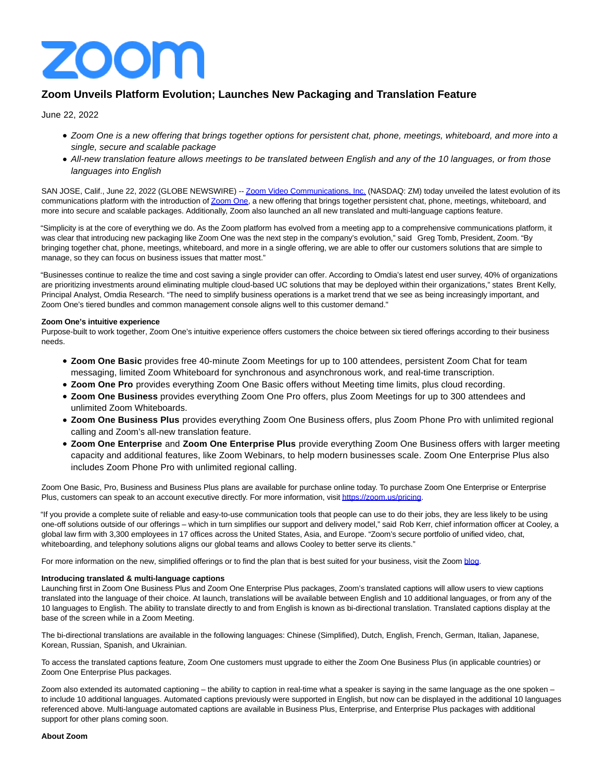

## **Zoom Unveils Platform Evolution; Launches New Packaging and Translation Feature**

June 22, 2022

- Zoom One is a new offering that brings together options for persistent chat, phone, meetings, whiteboard, and more into a single, secure and scalable package
- All-new translation feature allows meetings to be translated between English and any of the 10 languages, or from those languages into English

SAN JOSE, Calif., June 22, 2022 (GLOBE NEWSWIRE) -[- Zoom Video Communications, Inc. \(](https://www.globenewswire.com/Tracker?data=brWPWd8c2Dy2N2X9eTPCt3MVB_EFrIPCrbPY2KjuTfZueYhFWDeTgphNGLZ64Tyo8Z4-5zq7uAERtd324FTI6r88cP0gTnt58cMBW8CiPmo=)NASDAQ: ZM) today unveiled the latest evolution of its communications platform with the introduction o[f Zoom One,](https://www.globenewswire.com/Tracker?data=4iSxrhZbjID_CVwsxcMZM1zuD9kNbYsASjWlKZE8FZD5rtNubf8-vMp8GR_h0YCWNkDspkBEe-UH-PSO-f0b0A==) a new offering that brings together persistent chat, phone, meetings, whiteboard, and more into secure and scalable packages. Additionally, Zoom also launched an all new translated and multi-language captions feature.

"Simplicity is at the core of everything we do. As the Zoom platform has evolved from a meeting app to a comprehensive communications platform, it was clear that introducing new packaging like Zoom One was the next step in the company's evolution," said Greg Tomb, President, Zoom. "By bringing together chat, phone, meetings, whiteboard, and more in a single offering, we are able to offer our customers solutions that are simple to manage, so they can focus on business issues that matter most."

"Businesses continue to realize the time and cost saving a single provider can offer. According to Omdia's latest end user survey, 40% of organizations are prioritizing investments around eliminating multiple cloud-based UC solutions that may be deployed within their organizations," states Brent Kelly, Principal Analyst, Omdia Research. "The need to simplify business operations is a market trend that we see as being increasingly important, and Zoom One's tiered bundles and common management console aligns well to this customer demand."

## **Zoom One's intuitive experience**

Purpose-built to work together, Zoom One's intuitive experience offers customers the choice between six tiered offerings according to their business needs.

- **Zoom One Basic** provides free 40-minute Zoom Meetings for up to 100 attendees, persistent Zoom Chat for team messaging, limited Zoom Whiteboard for synchronous and asynchronous work, and real-time transcription.
- **Zoom One Pro** provides everything Zoom One Basic offers without Meeting time limits, plus cloud recording.
- **Zoom One Business** provides everything Zoom One Pro offers, plus Zoom Meetings for up to 300 attendees and unlimited Zoom Whiteboards.
- **Zoom One Business Plus** provides everything Zoom One Business offers, plus Zoom Phone Pro with unlimited regional calling and Zoom's all-new translation feature.
- **Zoom One Enterprise** and **Zoom One Enterprise Plus** provide everything Zoom One Business offers with larger meeting capacity and additional features, like Zoom Webinars, to help modern businesses scale. Zoom One Enterprise Plus also includes Zoom Phone Pro with unlimited regional calling.

Zoom One Basic, Pro, Business and Business Plus plans are available for purchase online today. To purchase Zoom One Enterprise or Enterprise Plus, customers can speak to an account executive directly. For more information, visi[t https://zoom.us/pricing.](https://www.globenewswire.com/Tracker?data=cwa8Xht6DNxbsU8noy3qqYLrxWv1ueo16hpAeMCfdmDMrvOkT6WBQLt3XuDFHnhsWISduTM8OoCaFIotnhcUTuNZkHhsXXTzksbhsZ9JCmw=)

"If you provide a complete suite of reliable and easy-to-use communication tools that people can use to do their jobs, they are less likely to be using one-off solutions outside of our offerings – which in turn simplifies our support and delivery model," said Rob Kerr, chief information officer at Cooley, a global law firm with 3,300 employees in 17 offices across the United States, Asia, and Europe. "Zoom's secure portfolio of unified video, chat, whiteboarding, and telephony solutions aligns our global teams and allows Cooley to better serve its clients."

For more information on the new, simplified offerings or to find the plan that is best suited for your business, visit the Zoom [blog.](https://www.globenewswire.com/Tracker?data=35dFS0MN0exDvM5Tav1vo0x23QWYwJpMK4F5tUi24n0WGa3PQGMtd5iYU9hF_ObaO3Q28ALSC5RTooCuE4NAFg==)

## **Introducing translated & multi-language captions**

Launching first in Zoom One Business Plus and Zoom One Enterprise Plus packages, Zoom's translated captions will allow users to view captions translated into the language of their choice. At launch, translations will be available between English and 10 additional languages, or from any of the 10 languages to English. The ability to translate directly to and from English is known as bi-directional translation. Translated captions display at the base of the screen while in a Zoom Meeting.

The bi-directional translations are available in the following languages: Chinese (Simplified), Dutch, English, French, German, Italian, Japanese, Korean, Russian, Spanish, and Ukrainian.

To access the translated captions feature, Zoom One customers must upgrade to either the Zoom One Business Plus (in applicable countries) or Zoom One Enterprise Plus packages.

Zoom also extended its automated captioning – the ability to caption in real-time what a speaker is saying in the same language as the one spoken – to include 10 additional languages. Automated captions previously were supported in English, but now can be displayed in the additional 10 languages referenced above. Multi-language automated captions are available in Business Plus, Enterprise, and Enterprise Plus packages with additional support for other plans coming soon.

## **About Zoom**